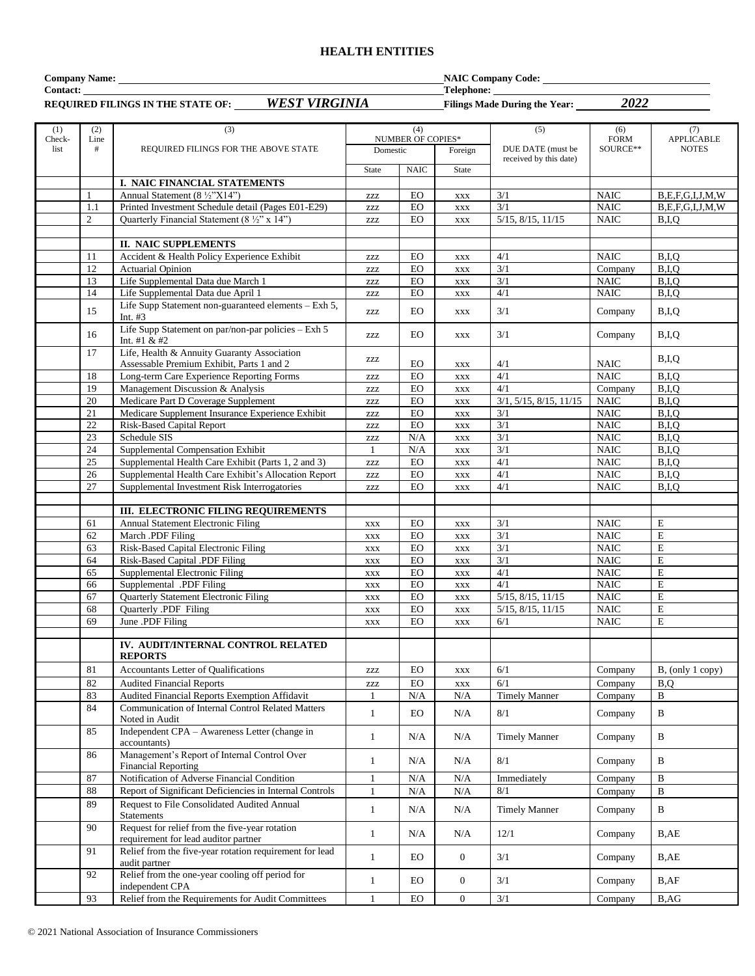#### **HEALTH ENTITIES**

**Company Name:** NaIC Company Code: **Contact:** Telephone: **Telephone: Telephone: Telephone: Telephone: Telephone: Telephone: Telephone: Telephone: Telephone: Telephone: Telephone: Telephone: Telephone: Telephone: Telephone: Tele** 

| REQUIRED FILINGS IN THE STATE OF: WEST VIRGINIA<br>2022<br>Filings Made During the Year: |                |                                                                                          |                              |                   |                                  |                           |                            |                         |
|------------------------------------------------------------------------------------------|----------------|------------------------------------------------------------------------------------------|------------------------------|-------------------|----------------------------------|---------------------------|----------------------------|-------------------------|
| (1)                                                                                      | (2)            | (3)                                                                                      |                              | (4)               |                                  | (5)                       | (6)                        | (7)                     |
| Check-                                                                                   | Line           |                                                                                          |                              | NUMBER OF COPIES* |                                  |                           | <b>FORM</b>                | <b>APPLICABLE</b>       |
| list                                                                                     | #              | REQUIRED FILINGS FOR THE ABOVE STATE                                                     | Domestic                     |                   | Foreign                          | DUE DATE (must be         | SOURCE**                   | <b>NOTES</b>            |
|                                                                                          |                |                                                                                          | <b>State</b>                 | <b>NAIC</b>       | State                            | received by this date)    |                            |                         |
|                                                                                          |                | I. NAIC FINANCIAL STATEMENTS                                                             |                              |                   |                                  |                           |                            |                         |
|                                                                                          | $\mathbf{1}$   | Annual Statement (8 ½"X14")                                                              | <b>ZZZ</b>                   | $_{\rm EO}$       | $\mathbf{XXX}$                   | 3/1                       | <b>NAIC</b>                | B, E, F, G, I, J, M, W  |
|                                                                                          | 1.1            | Printed Investment Schedule detail (Pages E01-E29)                                       | ZZZ                          | ${\rm EO}$        | $_{\rm XXX}$                     | 3/1                       | <b>NAIC</b>                | B, E, F, G, I, J, M, W  |
|                                                                                          | $\overline{2}$ | Quarterly Financial Statement (8 1/2" x 14")                                             | ZZZ                          | $_{\rm EO}$       | <b>XXX</b>                       | $5/15$ , $8/15$ , $11/15$ | <b>NAIC</b>                | B.I.O                   |
|                                                                                          |                |                                                                                          |                              |                   |                                  |                           |                            |                         |
|                                                                                          |                | <b>II. NAIC SUPPLEMENTS</b>                                                              |                              |                   |                                  |                           |                            |                         |
|                                                                                          | 11             | Accident & Health Policy Experience Exhibit                                              | ZZZ                          | EO                | <b>XXX</b>                       | 4/1                       | <b>NAIC</b>                | B,I,Q                   |
|                                                                                          | 12             | <b>Actuarial Opinion</b>                                                                 | ZZZ                          | ${\rm EO}$        | $\mathbf{XXX}$                   | 3/1                       | Company                    | B,I,Q                   |
|                                                                                          | 13             | Life Supplemental Data due March 1                                                       | <b>ZZZ</b>                   | EO                | $\mathbf{XXX}$                   | 3/1                       | <b>NAIC</b>                | B,I,Q                   |
|                                                                                          | 14             | Life Supplemental Data due April 1                                                       | ZZZ                          | EO                | <b>XXX</b>                       | $4/1$                     | $\rm NAIC$                 | B,I,Q                   |
|                                                                                          | 15             | Life Supp Statement non-guaranteed elements - Exh 5,                                     | ZZZ                          | ${\rm EO}$        | <b>XXX</b>                       | 3/1                       | Company                    | B,I,Q                   |
|                                                                                          |                | Int. $#3$                                                                                |                              |                   |                                  |                           |                            |                         |
|                                                                                          | 16             | Life Supp Statement on par/non-par policies - Exh 5<br>Int. #1 & #2                      | ZZZ                          | <b>EO</b>         | <b>XXX</b>                       | 3/1                       | Company                    | B,I,Q                   |
|                                                                                          | 17             | Life, Health & Annuity Guaranty Association<br>Assessable Premium Exhibit, Parts 1 and 2 | ZZZ                          | EO                | XXX                              | 4/1                       | <b>NAIC</b>                | B,I,Q                   |
|                                                                                          | 18             | Long-term Care Experience Reporting Forms                                                | <b>ZZZ</b>                   | ${\rm EO}$        | $\mathbf{XXX}$                   | 4/1                       | NAIC                       | B,I,Q                   |
|                                                                                          | 19             | Management Discussion & Analysis                                                         | ZZZ                          | EO                | $\mathbf{XXX}$                   | 4/1                       | Company                    | B,I,Q                   |
|                                                                                          | 20             | Medicare Part D Coverage Supplement                                                      | ZZZ                          | $_{\rm EO}$       | <b>XXX</b>                       | 3/1, 5/15, 8/15, 11/15    | <b>NAIC</b>                | B,I,Q                   |
|                                                                                          | 21             | Medicare Supplement Insurance Experience Exhibit                                         | ZZZ                          | ${\rm EO}$        | $\mathbf{XXX}$                   | 3/1                       | $\rm NAIC$                 | B,I,Q                   |
|                                                                                          | $22\,$         | <b>Risk-Based Capital Report</b>                                                         | ZZZ                          | ${\rm EO}$        | $\mathbf{XXX}$                   | 3/1                       | <b>NAIC</b>                | B,I,Q                   |
|                                                                                          | $23\,$         | Schedule SIS                                                                             | ZZZ                          | $\rm N/A$         | <b>XXX</b>                       | 3/1                       | $\rm NAIC$                 | B,I,Q                   |
|                                                                                          | 24             | Supplemental Compensation Exhibit                                                        | -1                           | N/A               | <b>XXX</b>                       | 3/1                       | <b>NAIC</b>                | B,I,Q                   |
|                                                                                          | 25             | Supplemental Health Care Exhibit (Parts 1, 2 and 3)                                      | <b>ZZZ</b>                   | EO                | <b>XXX</b>                       | 4/1                       | <b>NAIC</b>                | B,I,Q                   |
|                                                                                          | 26             | Supplemental Health Care Exhibit's Allocation Report                                     | ZZZ                          | $_{\rm EO}$       | <b>XXX</b>                       | $4/1$                     | $\rm NAIC$                 | B,I,Q                   |
|                                                                                          | 27             | Supplemental Investment Risk Interrogatories                                             | ZZZ                          | EO                | $\mathbf{XXX}$                   | 4/1                       | <b>NAIC</b>                | B,I,Q                   |
|                                                                                          |                |                                                                                          |                              |                   |                                  |                           |                            |                         |
|                                                                                          |                | <b>III. ELECTRONIC FILING REQUIREMENTS</b>                                               |                              |                   |                                  |                           |                            |                         |
|                                                                                          | 61<br>62       | Annual Statement Electronic Filing<br>March .PDF Filing                                  | <b>XXX</b>                   | EO<br>${\rm EO}$  | <b>XXX</b>                       | 3/1<br>3/1                | <b>NAIC</b><br><b>NAIC</b> | E<br>$\mathbf E$        |
|                                                                                          | 63             | Risk-Based Capital Electronic Filing                                                     | $\mathbf{XXX}$<br><b>XXX</b> | EO                | $\mathbf{XXX}$<br>$\mathbf{XXX}$ | $\overline{3/1}$          | <b>NAIC</b>                | $\mathbf E$             |
|                                                                                          | 64             | Risk-Based Capital .PDF Filing                                                           | XXX                          | EO                | $\mathbf{XXX}$                   | 3/1                       | <b>NAIC</b>                | E                       |
|                                                                                          | 65             | Supplemental Electronic Filing                                                           | XXX                          | ${\rm EO}$        | $\mathbf{XXX}$                   | 4/1                       | <b>NAIC</b>                | $\mathbf E$             |
|                                                                                          | 66             | Supplemental .PDF Filing                                                                 | <b>XXX</b>                   | ${\rm EO}$        | <b>XXX</b>                       | 4/1                       | <b>NAIC</b>                | $\overline{\mathrm{E}}$ |
|                                                                                          | 67             | Quarterly Statement Electronic Filing                                                    | XXX                          | EO                | <b>XXX</b>                       | 5/15, 8/15, 11/15         | <b>NAIC</b>                | $\mathbf E$             |
|                                                                                          | 68             | Quarterly .PDF Filing                                                                    | $\mathbf{XXX}$               | $_{\rm EO}$       | $\mathbf{XXX}$                   | 5/15, 8/15, 11/15         | $\rm NAIC$                 | $\mathbf E$             |
|                                                                                          | 69             | June .PDF Filing                                                                         | $\mathbf{XXX}$               | EO                | $\mathbf{XXX}$                   | 6/1                       | <b>NAIC</b>                | $\mathbf E$             |
|                                                                                          |                |                                                                                          |                              |                   |                                  |                           |                            |                         |
|                                                                                          |                | IV. AUDIT/INTERNAL CONTROL RELATED<br><b>REPORTS</b>                                     |                              |                   |                                  |                           |                            |                         |
|                                                                                          | 81             | Accountants Letter of Qualifications                                                     | ZZZ                          | ${\rm EO}$        | $\mathbf{XXX}$                   | 6/1                       | Company                    | B, (only 1 copy)        |
|                                                                                          | 82             | <b>Audited Financial Reports</b>                                                         | ZZZ                          | $_{\rm EO}$       | $\mathbf{XXX}$                   | 6/1                       | Company                    | B,Q                     |
|                                                                                          | 83             | Audited Financial Reports Exemption Affidavit                                            |                              | N/A               | N/A                              | <b>Timely Manner</b>      | Company                    | B                       |
|                                                                                          | 84             | <b>Communication of Internal Control Related Matters</b><br>Noted in Audit               | $\mathbf{1}$                 | <b>EO</b>         | N/A                              | 8/1                       | Company                    | $\, {\bf B}$            |
|                                                                                          | 85             | Independent CPA - Awareness Letter (change in<br>accountants)                            | $\mathbf{1}$                 | N/A               | N/A                              | <b>Timely Manner</b>      | Company                    | $\, {\bf B}$            |
|                                                                                          | 86             | Management's Report of Internal Control Over<br><b>Financial Reporting</b>               | $\mathbf{1}$                 | N/A               | N/A                              | 8/1                       | Company                    | B                       |
|                                                                                          | 87             | Notification of Adverse Financial Condition                                              | 1                            | N/A               | $\rm N/A$                        | Immediately               | Company                    | B                       |
|                                                                                          | 88             | Report of Significant Deficiencies in Internal Controls                                  | $\mathbf{1}$                 | N/A               | N/A                              | 8/1                       | Company                    | B                       |
|                                                                                          | 89             | Request to File Consolidated Audited Annual                                              |                              |                   |                                  |                           |                            |                         |
|                                                                                          |                | Statements                                                                               | $\mathbf{1}$                 | N/A               | N/A                              | <b>Timely Manner</b>      | Company                    | B                       |
|                                                                                          | 90             | Request for relief from the five-year rotation<br>requirement for lead auditor partner   | $\mathbf{1}$                 | N/A               | N/A                              | 12/1                      | Company                    | B,AE                    |
|                                                                                          | 91             | Relief from the five-year rotation requirement for lead<br>audit partner                 | $\mathbf{1}$                 | EO                | $\mathbf{0}$                     | 3/1                       | Company                    | B,AE                    |
|                                                                                          | 92             | Relief from the one-year cooling off period for<br>independent CPA                       | $\mathbf{1}$                 | ${\rm EO}$        | $\overline{0}$                   | 3/1                       | Company                    | B, AF                   |
|                                                                                          | 93             | Relief from the Requirements for Audit Committees                                        | $\mathbf{1}$                 | ${\rm EO}$        | $\boldsymbol{0}$                 | 3/1                       | Company                    | B, AG                   |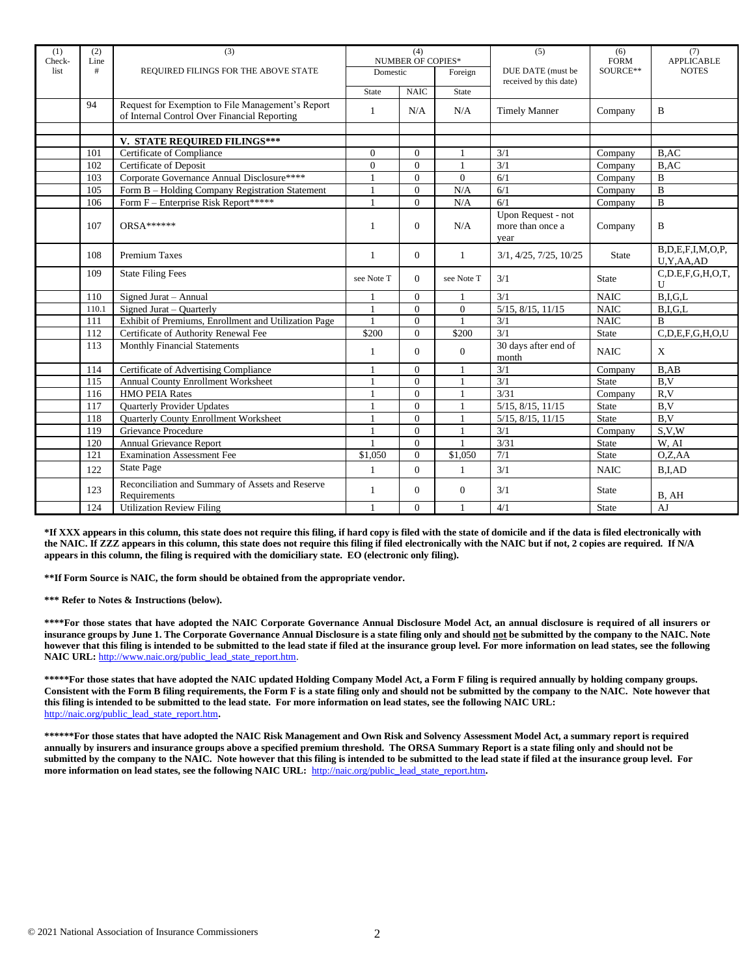| (1)<br>Check- | (2)<br>Line | (3)                                                                                               | (4)<br><b>NUMBER OF COPIES*</b> |                            | (5)            | (6)<br><b>FORM</b>                             | (7)<br><b>APPLICABLE</b> |                                |
|---------------|-------------|---------------------------------------------------------------------------------------------------|---------------------------------|----------------------------|----------------|------------------------------------------------|--------------------------|--------------------------------|
| list          | #           | REQUIRED FILINGS FOR THE ABOVE STATE                                                              | Domestic                        |                            | Foreign        | DUE DATE (must be<br>received by this date)    | SOURCE**                 | <b>NOTES</b>                   |
|               |             |                                                                                                   | State                           | <b>NAIC</b>                | State          |                                                |                          |                                |
|               | 94          | Request for Exemption to File Management's Report<br>of Internal Control Over Financial Reporting | 1                               | N/A                        | N/A            | <b>Timely Manner</b>                           | Company                  | B                              |
|               |             |                                                                                                   |                                 |                            |                |                                                |                          |                                |
|               | 101         | V. STATE REQUIRED FILINGS***<br>Certificate of Compliance                                         | $\overline{0}$                  | $\Omega$                   |                | 3/1                                            |                          | B,AC                           |
|               |             | <b>Certificate of Deposit</b>                                                                     | $\overline{0}$                  | $\Omega$                   |                | 3/1                                            | Company                  |                                |
|               | 102<br>103  | Corporate Governance Annual Disclosure****                                                        | $\mathbf{1}$                    | $\Omega$                   | $\theta$       | 6/1                                            | Company<br>Company       | B,AC<br>B                      |
|               |             |                                                                                                   | $\mathbf{1}$                    |                            |                | 6/1                                            |                          | $\overline{B}$                 |
|               | 105<br>106  | Form B - Holding Company Registration Statement<br>Form F - Enterprise Risk Report*****           | $\mathbf{1}$                    | $\overline{0}$<br>$\Omega$ | N/A<br>N/A     | 6/1                                            | Company                  | $\bf{B}$                       |
|               |             |                                                                                                   |                                 |                            |                |                                                | Company                  |                                |
|               | 107         | <b>ORSA******</b>                                                                                 |                                 | $\Omega$                   | N/A            | Upon Request - not<br>more than once a<br>vear | Company                  | B                              |
|               | 108         | <b>Premium Taxes</b>                                                                              | 1                               | $\Omega$                   | $\mathbf{1}$   | 3/1, 4/25, 7/25, 10/25                         | <b>State</b>             | B,D,E,F,I,M,O,P,<br>U,Y,AA,AD  |
|               | 109         | <b>State Filing Fees</b>                                                                          | see Note T                      | $\Omega$                   | see Note T     | 3/1                                            | State                    | $C$ , D.E, F, G, H, O, T,<br>U |
|               | 110         | Signed Jurat - Annual                                                                             |                                 | $\Omega$                   |                | 3/1                                            | <b>NAIC</b>              | B.I.G.L                        |
|               | 110.1       | Signed Jurat – Quarterly                                                                          | 1                               | $\Omega$                   | $\overline{0}$ | $5/15$ , $8/15$ , $11/15$                      | <b>NAIC</b>              | B.I.G.L                        |
|               | 111         | Exhibit of Premiums, Enrollment and Utilization Page                                              |                                 | $\Omega$                   |                | $\overline{3/1}$                               | <b>NAIC</b>              | B                              |
|               | 112         | Certificate of Authority Renewal Fee                                                              | \$200                           | $\Omega$                   | \$200          | 3/1                                            | <b>State</b>             | C.D.E.F.G.H.O.U                |
|               | 113         | <b>Monthly Financial Statements</b>                                                               | 1                               | $\Omega$                   | $\Omega$       | 30 days after end of<br>month                  | <b>NAIC</b>              | $\mathbf X$                    |
|               | 114         | Certificate of Advertising Compliance                                                             |                                 | $\Omega$                   |                | 3/1                                            | Company                  | $B$ , $AB$                     |
|               | 115         | Annual County Enrollment Worksheet                                                                | $\mathbf{1}$                    | $\Omega$                   | $\overline{1}$ | 3/1                                            | <b>State</b>             | B, V                           |
|               | 116         | <b>HMO PEIA Rates</b>                                                                             |                                 | $\Omega$                   |                | 3/31                                           | Company                  | R, V                           |
|               | 117         | <b>Ouarterly Provider Updates</b>                                                                 | 1                               | $\Omega$                   |                | 5/15, 8/15, 11/15                              | State                    | B,V                            |
|               | 118         | Quarterly County Enrollment Worksheet                                                             |                                 | $\Omega$                   |                | 5/15, 8/15, 11/15                              | State                    | B, V                           |
|               | 119         | Grievance Procedure                                                                               | $\mathbf{1}$                    | $\Omega$                   |                | 3/1                                            | Company                  | S.V.W                          |
|               | 120         | <b>Annual Grievance Report</b>                                                                    |                                 | $\Omega$                   |                | 3/31                                           | State                    | W, AI                          |
|               | 121         | <b>Examination Assessment Fee</b>                                                                 | \$1,050                         | $\Omega$                   | \$1.050        | 7/1                                            | <b>State</b>             | O.Z.AA                         |
|               | 122         | <b>State Page</b>                                                                                 | 1                               | $\Omega$                   | $\mathbf{1}$   | 3/1                                            | <b>NAIC</b>              | B.I.AD                         |
|               | 123         | Reconciliation and Summary of Assets and Reserve<br>Requirements                                  | 1                               | $\overline{0}$             | $\overline{0}$ | 3/1                                            | <b>State</b>             | B, AH                          |
|               | 124         | <b>Utilization Review Filing</b>                                                                  | $\mathbf{1}$                    | $\Omega$                   | $\mathbf{1}$   | 4/1                                            | <b>State</b>             | AJ                             |

**\*If XXX appears in this column, this state does not require this filing, if hard copy is filed with the state of domicile and if the data is filed electronically with the NAIC. If ZZZ appears in this column, this state does not require this filing if filed electronically with the NAIC but if not, 2 copies are required. If N/A appears in this column, the filing is required with the domiciliary state. EO (electronic only filing).**

**\*\*If Form Source is NAIC, the form should be obtained from the appropriate vendor.** 

**\*\*\* Refer to Notes & Instructions (below).**

**\*\*\*\*For those states that have adopted the NAIC Corporate Governance Annual Disclosure Model Act, an annual disclosure is required of all insurers or insurance groups by June 1. The Corporate Governance Annual Disclosure is a state filing only and should not be submitted by the company to the NAIC. Note however that this filing is intended to be submitted to the lead state if filed at the insurance group level. For more information on lead states, see the following NAIC URL:** [http://www.naic.org/public\\_lead\\_state\\_report.htm.](http://www.naic.org/public_lead_state_report.htm)

**\*\*\*\*\*For those states that have adopted the NAIC updated Holding Company Model Act, a Form F filing is required annually by holding company groups. Consistent with the Form B filing requirements, the Form F is a state filing only and should not be submitted by the company to the NAIC. Note however that this filing is intended to be submitted to the lead state. For more information on lead states, see the following NAIC URL:**  [http://naic.org/public\\_lead\\_state\\_report.htm](http://naic.org/public_lead_state_report.htm)**.** 

**\*\*\*\*\*\*For those states that have adopted the NAIC Risk Management and Own Risk and Solvency Assessment Model Act, a summary report is required annually by insurers and insurance groups above a specified premium threshold. The ORSA Summary Report is a state filing only and should not be submitted by the company to the NAIC. Note however that this filing is intended to be submitted to the lead state if filed at the insurance group level. For more information on lead states, see the following NAIC URL:** [http://naic.org/public\\_lead\\_state\\_report.htm](http://naic.org/public_lead_state_report.htm)**.**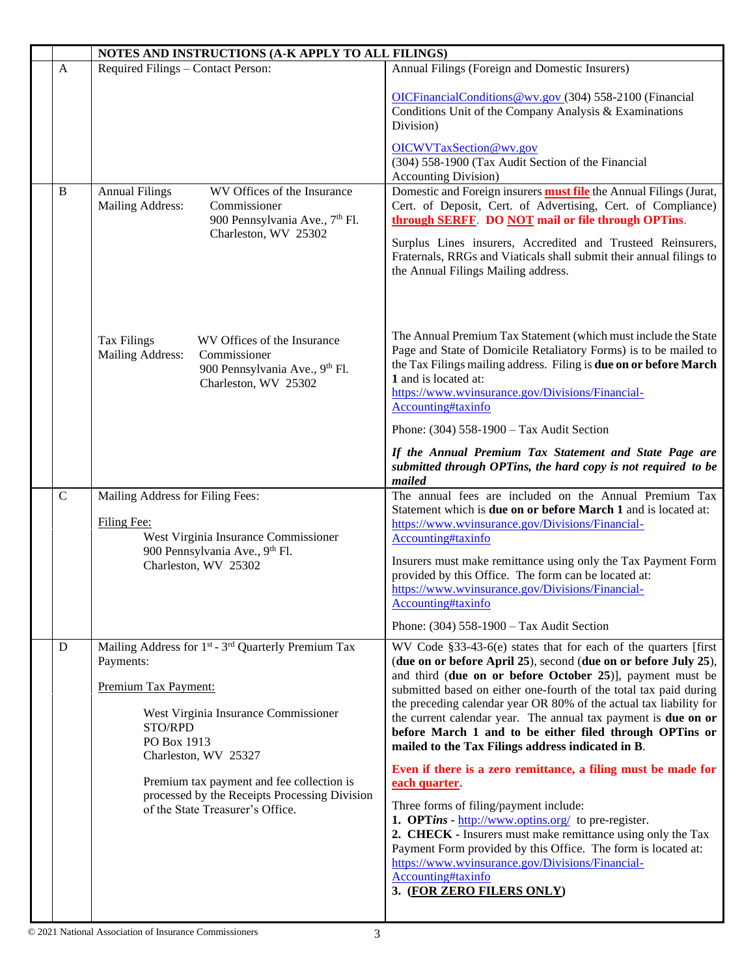|              | NOTES AND INSTRUCTIONS (A-K APPLY TO ALL FILINGS)                                                                                                                                                          |                                                                                                                                                                                                                                                                                                                                                                                                                                                                                                                               |  |  |  |
|--------------|------------------------------------------------------------------------------------------------------------------------------------------------------------------------------------------------------------|-------------------------------------------------------------------------------------------------------------------------------------------------------------------------------------------------------------------------------------------------------------------------------------------------------------------------------------------------------------------------------------------------------------------------------------------------------------------------------------------------------------------------------|--|--|--|
| $\mathbf{A}$ | Required Filings - Contact Person:                                                                                                                                                                         | Annual Filings (Foreign and Domestic Insurers)                                                                                                                                                                                                                                                                                                                                                                                                                                                                                |  |  |  |
|              |                                                                                                                                                                                                            | OICFinancialConditions@wv.gov (304) 558-2100 (Financial<br>Conditions Unit of the Company Analysis & Examinations<br>Division)                                                                                                                                                                                                                                                                                                                                                                                                |  |  |  |
|              |                                                                                                                                                                                                            | OICWVTaxSection@wv.gov<br>(304) 558-1900 (Tax Audit Section of the Financial<br><b>Accounting Division</b> )                                                                                                                                                                                                                                                                                                                                                                                                                  |  |  |  |
| B            | <b>Annual Filings</b><br>WV Offices of the Insurance<br>Mailing Address:<br>Commissioner<br>900 Pennsylvania Ave., 7 <sup>th</sup> Fl.<br>Charleston, WV 25302                                             | Domestic and Foreign insurers <b>must file</b> the Annual Filings (Jurat,<br>Cert. of Deposit, Cert. of Advertising, Cert. of Compliance)<br>through SERFF. DO NOT mail or file through OPTins.                                                                                                                                                                                                                                                                                                                               |  |  |  |
|              |                                                                                                                                                                                                            | Surplus Lines insurers, Accredited and Trusteed Reinsurers,<br>Fraternals, RRGs and Viaticals shall submit their annual filings to<br>the Annual Filings Mailing address.                                                                                                                                                                                                                                                                                                                                                     |  |  |  |
|              | WV Offices of the Insurance<br><b>Tax Filings</b><br>Mailing Address:<br>Commissioner<br>900 Pennsylvania Ave., 9th Fl.<br>Charleston, WV 25302                                                            | The Annual Premium Tax Statement (which must include the State<br>Page and State of Domicile Retaliatory Forms) is to be mailed to<br>the Tax Filings mailing address. Filing is due on or before March<br>1 and is located at:<br>https://www.wvinsurance.gov/Divisions/Financial-<br>Accounting#taxinfo                                                                                                                                                                                                                     |  |  |  |
|              |                                                                                                                                                                                                            | Phone: (304) 558-1900 - Tax Audit Section<br>If the Annual Premium Tax Statement and State Page are<br>submitted through OPTins, the hard copy is not required to be<br>mailed                                                                                                                                                                                                                                                                                                                                                |  |  |  |
| $\mathbf C$  | Mailing Address for Filing Fees:<br>Filing Fee:<br>West Virginia Insurance Commissioner<br>900 Pennsylvania Ave., 9th Fl.<br>Charleston, WV 25302                                                          | The annual fees are included on the Annual Premium Tax<br>Statement which is due on or before March 1 and is located at:<br>https://www.wvinsurance.gov/Divisions/Financial-<br>Accounting#taxinfo<br>Insurers must make remittance using only the Tax Payment Form<br>provided by this Office. The form can be located at:<br>https://www.wvinsurance.gov/Divisions/Financial-                                                                                                                                               |  |  |  |
|              |                                                                                                                                                                                                            | Accounting#taxinfo<br>Phone: (304) 558-1900 - Tax Audit Section                                                                                                                                                                                                                                                                                                                                                                                                                                                               |  |  |  |
| D            | Mailing Address for 1 <sup>st</sup> - 3 <sup>rd</sup> Quarterly Premium Tax<br>Payments:<br>Premium Tax Payment:<br>West Virginia Insurance Commissioner<br>STO/RPD<br>PO Box 1913<br>Charleston, WV 25327 | WV Code §33-43-6(e) states that for each of the quarters [first]<br>(due on or before April 25), second (due on or before July 25),<br>and third (due on or before October 25)], payment must be<br>submitted based on either one-fourth of the total tax paid during<br>the preceding calendar year OR 80% of the actual tax liability for<br>the current calendar year. The annual tax payment is due on or<br>before March 1 and to be either filed through OPTins or<br>mailed to the Tax Filings address indicated in B. |  |  |  |
|              | Premium tax payment and fee collection is<br>processed by the Receipts Processing Division<br>of the State Treasurer's Office.                                                                             | Even if there is a zero remittance, a filing must be made for<br>each quarter.<br>Three forms of filing/payment include:<br>1. OPTins - http://www.optins.org/ to pre-register.<br>2. CHECK - Insurers must make remittance using only the Tax<br>Payment Form provided by this Office. The form is located at:<br>https://www.wvinsurance.gov/Divisions/Financial-<br>Accounting#taxinfo<br>3. (FOR ZERO FILERS ONLY)                                                                                                        |  |  |  |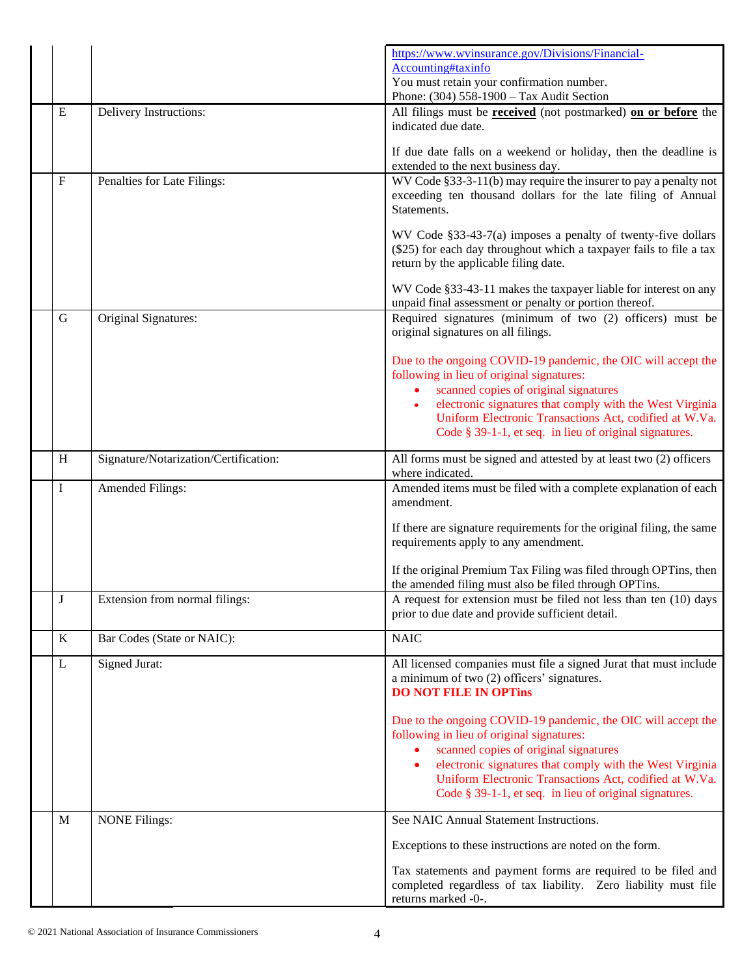|             |                                       | https://www.wvinsurance.gov/Divisions/Financial-<br>Accounting#taxinfo<br>You must retain your confirmation number.<br>Phone: (304) 558-1900 - Tax Audit Section                                                                                                                                                                      |
|-------------|---------------------------------------|---------------------------------------------------------------------------------------------------------------------------------------------------------------------------------------------------------------------------------------------------------------------------------------------------------------------------------------|
| E           | Delivery Instructions:                | All filings must be <b>received</b> (not postmarked) on or before the<br>indicated due date.                                                                                                                                                                                                                                          |
|             |                                       | If due date falls on a weekend or holiday, then the deadline is<br>extended to the next business day.                                                                                                                                                                                                                                 |
| $\mathbf F$ | Penalties for Late Filings:           | WV Code §33-3-11(b) may require the insurer to pay a penalty not<br>exceeding ten thousand dollars for the late filing of Annual<br>Statements.                                                                                                                                                                                       |
|             |                                       | WV Code §33-43-7(a) imposes a penalty of twenty-five dollars<br>(\$25) for each day throughout which a taxpayer fails to file a tax<br>return by the applicable filing date.                                                                                                                                                          |
|             |                                       | WV Code §33-43-11 makes the taxpayer liable for interest on any<br>unpaid final assessment or penalty or portion thereof.                                                                                                                                                                                                             |
| $\mathbf G$ | Original Signatures:                  | Required signatures (minimum of two (2) officers) must be<br>original signatures on all filings.                                                                                                                                                                                                                                      |
|             |                                       | Due to the ongoing COVID-19 pandemic, the OIC will accept the<br>following in lieu of original signatures:<br>scanned copies of original signatures<br>electronic signatures that comply with the West Virginia<br>Uniform Electronic Transactions Act, codified at W.Va.<br>Code § 39-1-1, et seq. in lieu of original signatures.   |
| H           | Signature/Notarization/Certification: | All forms must be signed and attested by at least two (2) officers<br>where indicated.                                                                                                                                                                                                                                                |
| I           | <b>Amended Filings:</b>               | Amended items must be filed with a complete explanation of each<br>amendment.                                                                                                                                                                                                                                                         |
|             |                                       | If there are signature requirements for the original filing, the same<br>requirements apply to any amendment.                                                                                                                                                                                                                         |
|             |                                       | If the original Premium Tax Filing was filed through OPTins, then<br>the amended filing must also be filed through OPTins.                                                                                                                                                                                                            |
| J           | Extension from normal filings:        | A request for extension must be filed not less than ten (10) days<br>prior to due date and provide sufficient detail.                                                                                                                                                                                                                 |
| $\bf K$     | Bar Codes (State or NAIC):            | <b>NAIC</b>                                                                                                                                                                                                                                                                                                                           |
| L           | Signed Jurat:                         | All licensed companies must file a signed Jurat that must include<br>a minimum of two (2) officers' signatures.<br><b>DO NOT FILE IN OPTINS</b>                                                                                                                                                                                       |
|             |                                       | Due to the ongoing COVID-19 pandemic, the OIC will accept the<br>following in lieu of original signatures:<br>scanned copies of original signatures<br>electronic signatures that comply with the West Virginia<br>Uniform Electronic Transactions Act, codified at W.Va.<br>Code $§$ 39-1-1, et seq. in lieu of original signatures. |
| M           | <b>NONE Filings:</b>                  | See NAIC Annual Statement Instructions.                                                                                                                                                                                                                                                                                               |
|             |                                       | Exceptions to these instructions are noted on the form.                                                                                                                                                                                                                                                                               |
|             |                                       | Tax statements and payment forms are required to be filed and<br>completed regardless of tax liability. Zero liability must file<br>returns marked -0-.                                                                                                                                                                               |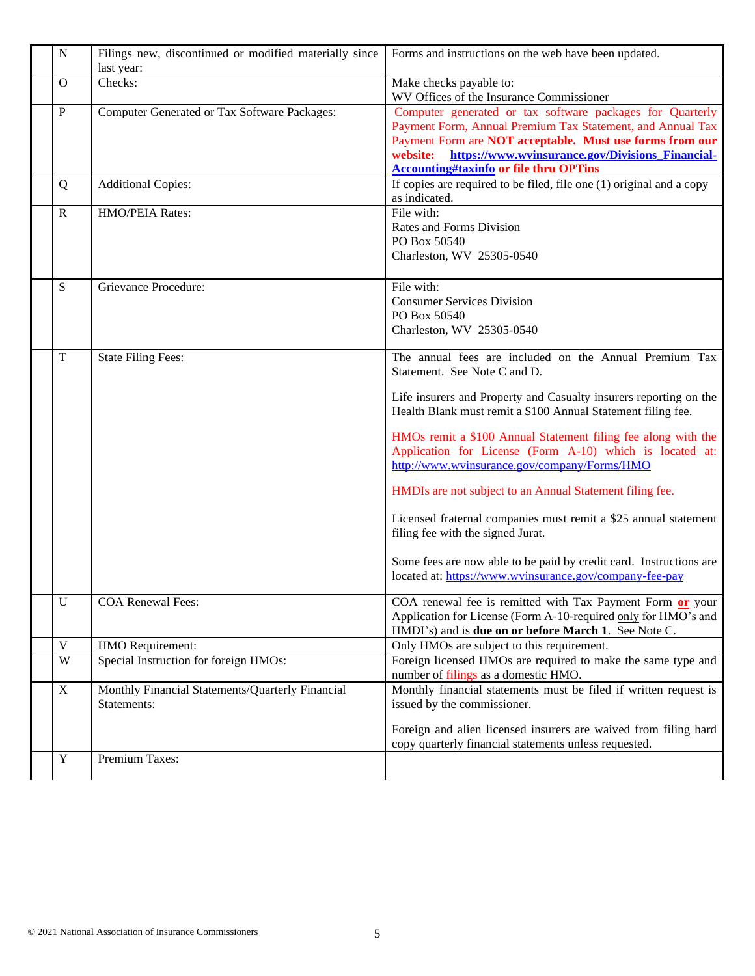| ${\bf N}$               | Filings new, discontinued or modified materially since<br>last year: | Forms and instructions on the web have been updated.                                                                                                                                                                                                                                                                                                                                                                                                                                                                                                                                                                                                                                                          |
|-------------------------|----------------------------------------------------------------------|---------------------------------------------------------------------------------------------------------------------------------------------------------------------------------------------------------------------------------------------------------------------------------------------------------------------------------------------------------------------------------------------------------------------------------------------------------------------------------------------------------------------------------------------------------------------------------------------------------------------------------------------------------------------------------------------------------------|
| $\Omega$                | Checks:                                                              | Make checks payable to:<br>WV Offices of the Insurance Commissioner                                                                                                                                                                                                                                                                                                                                                                                                                                                                                                                                                                                                                                           |
| $\mathbf{P}$            | Computer Generated or Tax Software Packages:                         | Computer generated or tax software packages for Quarterly<br>Payment Form, Annual Premium Tax Statement, and Annual Tax<br>Payment Form are NOT acceptable. Must use forms from our<br>website:<br>https://www.wvinsurance.gov/Divisions Financial-<br><b>Accounting#taxinfo or file thru OPTins</b>                                                                                                                                                                                                                                                                                                                                                                                                          |
| Q                       | <b>Additional Copies:</b>                                            | If copies are required to be filed, file one (1) original and a copy<br>as indicated.                                                                                                                                                                                                                                                                                                                                                                                                                                                                                                                                                                                                                         |
| $\mathbf R$             | HMO/PEIA Rates:                                                      | File with:<br>Rates and Forms Division<br>PO Box 50540<br>Charleston, WV 25305-0540                                                                                                                                                                                                                                                                                                                                                                                                                                                                                                                                                                                                                           |
| S                       | <b>Grievance Procedure:</b>                                          | File with:<br><b>Consumer Services Division</b><br>PO Box 50540<br>Charleston, WV 25305-0540                                                                                                                                                                                                                                                                                                                                                                                                                                                                                                                                                                                                                  |
| $\mathbf T$             | <b>State Filing Fees:</b>                                            | The annual fees are included on the Annual Premium Tax<br>Statement. See Note C and D.<br>Life insurers and Property and Casualty insurers reporting on the<br>Health Blank must remit a \$100 Annual Statement filing fee.<br>HMOs remit a \$100 Annual Statement filing fee along with the<br>Application for License (Form A-10) which is located at:<br>http://www.wvinsurance.gov/company/Forms/HMO<br>HMDIs are not subject to an Annual Statement filing fee.<br>Licensed fraternal companies must remit a \$25 annual statement<br>filing fee with the signed Jurat.<br>Some fees are now able to be paid by credit card. Instructions are<br>located at: https://www.wvinsurance.gov/company-fee-pay |
| $\mathbf U$             | <b>COA Renewal Fees:</b>                                             | COA renewal fee is remitted with Tax Payment Form or your<br>Application for License (Form A-10-required only for HMO's and<br>HMDI's) and is <b>due on or before March 1</b> . See Note C.                                                                                                                                                                                                                                                                                                                                                                                                                                                                                                                   |
| $\mathbf V$             | HMO Requirement:                                                     | Only HMOs are subject to this requirement.                                                                                                                                                                                                                                                                                                                                                                                                                                                                                                                                                                                                                                                                    |
| $\ensuremath{\text{W}}$ | Special Instruction for foreign HMOs:                                | Foreign licensed HMOs are required to make the same type and<br>number of filings as a domestic HMO.                                                                                                                                                                                                                                                                                                                                                                                                                                                                                                                                                                                                          |
| X                       | Monthly Financial Statements/Quarterly Financial<br>Statements:      | Monthly financial statements must be filed if written request is<br>issued by the commissioner.<br>Foreign and alien licensed insurers are waived from filing hard<br>copy quarterly financial statements unless requested.                                                                                                                                                                                                                                                                                                                                                                                                                                                                                   |
| $\mathbf Y$             | Premium Taxes:                                                       |                                                                                                                                                                                                                                                                                                                                                                                                                                                                                                                                                                                                                                                                                                               |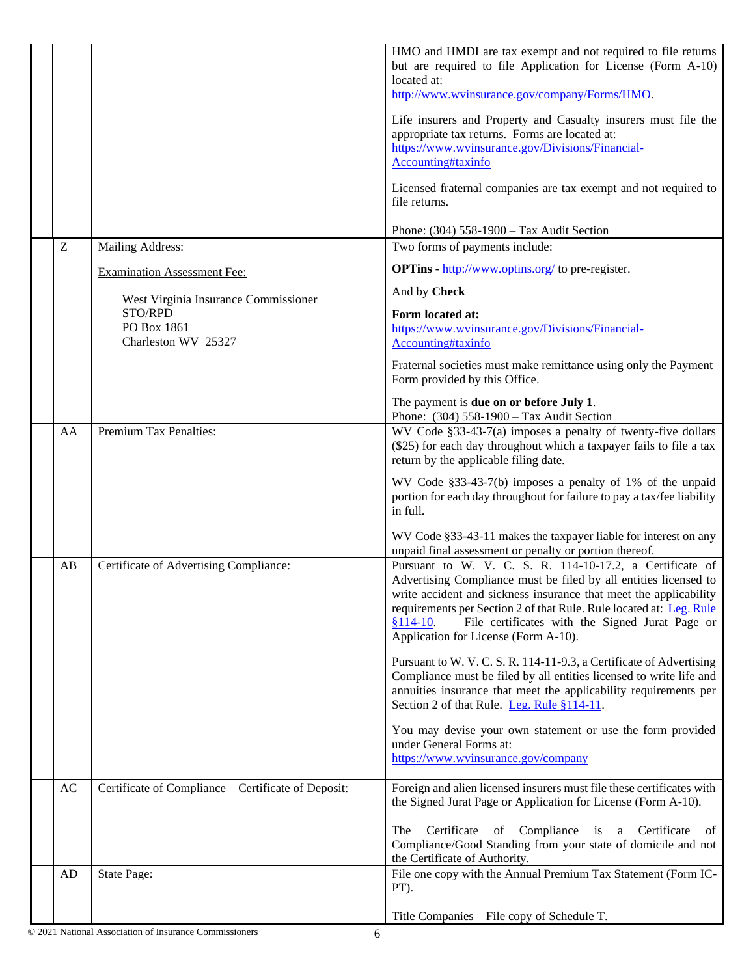|    |                                                     | HMO and HMDI are tax exempt and not required to file returns<br>but are required to file Application for License (Form A-10)<br>located at:<br>http://www.wvinsurance.gov/company/Forms/HMO.<br>Life insurers and Property and Casualty insurers must file the<br>appropriate tax returns. Forms are located at:<br>https://www.wvinsurance.gov/Divisions/Financial-<br>Accounting#taxinfo<br>Licensed fraternal companies are tax exempt and not required to |
|----|-----------------------------------------------------|---------------------------------------------------------------------------------------------------------------------------------------------------------------------------------------------------------------------------------------------------------------------------------------------------------------------------------------------------------------------------------------------------------------------------------------------------------------|
|    |                                                     | file returns.                                                                                                                                                                                                                                                                                                                                                                                                                                                 |
|    |                                                     | Phone: (304) 558-1900 - Tax Audit Section                                                                                                                                                                                                                                                                                                                                                                                                                     |
| Z  | Mailing Address:                                    | Two forms of payments include:                                                                                                                                                                                                                                                                                                                                                                                                                                |
|    | <b>Examination Assessment Fee:</b>                  | <b>OPTins</b> - http://www.optins.org/ to pre-register.                                                                                                                                                                                                                                                                                                                                                                                                       |
|    | West Virginia Insurance Commissioner                | And by Check                                                                                                                                                                                                                                                                                                                                                                                                                                                  |
|    | STO/RPD<br>PO Box 1861<br>Charleston WV 25327       | Form located at:<br>https://www.wvinsurance.gov/Divisions/Financial-<br>Accounting#taxinfo                                                                                                                                                                                                                                                                                                                                                                    |
|    |                                                     | Fraternal societies must make remittance using only the Payment<br>Form provided by this Office.                                                                                                                                                                                                                                                                                                                                                              |
|    |                                                     | The payment is <b>due on or before July 1.</b><br>Phone: (304) 558-1900 - Tax Audit Section                                                                                                                                                                                                                                                                                                                                                                   |
| AA | Premium Tax Penalties:                              | WV Code $§$ 33-43-7(a) imposes a penalty of twenty-five dollars<br>(\$25) for each day throughout which a taxpayer fails to file a tax<br>return by the applicable filing date.                                                                                                                                                                                                                                                                               |
|    |                                                     | WV Code §33-43-7(b) imposes a penalty of 1% of the unpaid<br>portion for each day throughout for failure to pay a tax/fee liability<br>in full.                                                                                                                                                                                                                                                                                                               |
|    |                                                     | WV Code §33-43-11 makes the taxpayer liable for interest on any<br>unpaid final assessment or penalty or portion thereof.                                                                                                                                                                                                                                                                                                                                     |
| AB | Certificate of Advertising Compliance:              | Pursuant to W. V. C. S. R. 114-10-17.2, a Certificate of<br>Advertising Compliance must be filed by all entities licensed to<br>write accident and sickness insurance that meet the applicability<br>requirements per Section 2 of that Rule. Rule located at: Leg. Rule<br>$$114-10.$<br>File certificates with the Signed Jurat Page or<br>Application for License (Form A-10).                                                                             |
|    |                                                     | Pursuant to W. V. C. S. R. 114-11-9.3, a Certificate of Advertising<br>Compliance must be filed by all entities licensed to write life and<br>annuities insurance that meet the applicability requirements per<br>Section 2 of that Rule. Leg. Rule §114-11.                                                                                                                                                                                                  |
|    |                                                     | You may devise your own statement or use the form provided<br>under General Forms at:<br>https://www.wvinsurance.gov/company                                                                                                                                                                                                                                                                                                                                  |
| AC | Certificate of Compliance - Certificate of Deposit: | Foreign and alien licensed insurers must file these certificates with<br>the Signed Jurat Page or Application for License (Form A-10).                                                                                                                                                                                                                                                                                                                        |
|    |                                                     | of Compliance is a Certificate<br>Certificate<br>The<br>- of<br>Compliance/Good Standing from your state of domicile and not<br>the Certificate of Authority.                                                                                                                                                                                                                                                                                                 |
| AD | State Page:                                         | File one copy with the Annual Premium Tax Statement (Form IC-<br>PT).                                                                                                                                                                                                                                                                                                                                                                                         |
|    |                                                     | Title Companies – File copy of Schedule T.                                                                                                                                                                                                                                                                                                                                                                                                                    |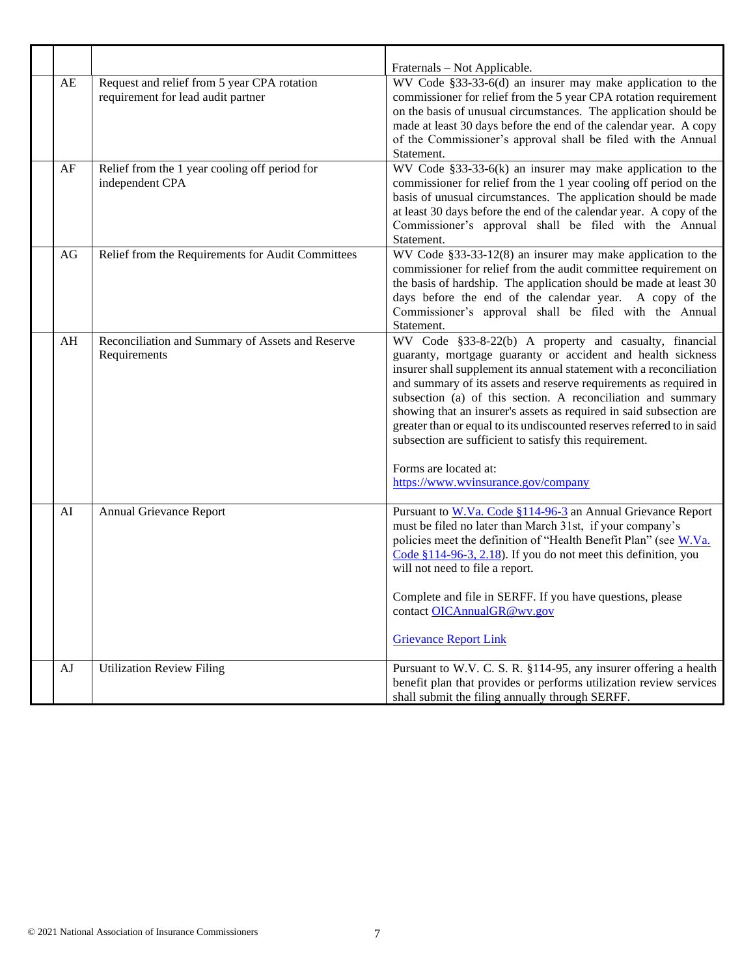| AE       | Request and relief from 5 year CPA rotation<br>requirement for lead audit partner | Fraternals – Not Applicable.<br>WV Code §33-33-6(d) an insurer may make application to the<br>commissioner for relief from the 5 year CPA rotation requirement<br>on the basis of unusual circumstances. The application should be<br>made at least 30 days before the end of the calendar year. A copy<br>of the Commissioner's approval shall be filed with the Annual<br>Statement.                                                                                                                                                       |
|----------|-----------------------------------------------------------------------------------|----------------------------------------------------------------------------------------------------------------------------------------------------------------------------------------------------------------------------------------------------------------------------------------------------------------------------------------------------------------------------------------------------------------------------------------------------------------------------------------------------------------------------------------------|
| $\rm AF$ | Relief from the 1 year cooling off period for<br>independent CPA                  | WV Code $§33-33-6(k)$ an insurer may make application to the<br>commissioner for relief from the 1 year cooling off period on the<br>basis of unusual circumstances. The application should be made<br>at least 30 days before the end of the calendar year. A copy of the<br>Commissioner's approval shall be filed with the Annual<br>Statement.                                                                                                                                                                                           |
| AG       | Relief from the Requirements for Audit Committees                                 | WV Code §33-33-12(8) an insurer may make application to the<br>commissioner for relief from the audit committee requirement on<br>the basis of hardship. The application should be made at least 30<br>days before the end of the calendar year. A copy of the<br>Commissioner's approval shall be filed with the Annual<br>Statement.                                                                                                                                                                                                       |
| AH       | Reconciliation and Summary of Assets and Reserve<br>Requirements                  | WV Code §33-8-22(b) A property and casualty, financial<br>guaranty, mortgage guaranty or accident and health sickness<br>insurer shall supplement its annual statement with a reconciliation<br>and summary of its assets and reserve requirements as required in<br>subsection (a) of this section. A reconciliation and summary<br>showing that an insurer's assets as required in said subsection are<br>greater than or equal to its undiscounted reserves referred to in said<br>subsection are sufficient to satisfy this requirement. |
|          |                                                                                   | Forms are located at:<br>https://www.wvinsurance.gov/company                                                                                                                                                                                                                                                                                                                                                                                                                                                                                 |
| AI       | Annual Grievance Report                                                           | Pursuant to W.Va. Code §114-96-3 an Annual Grievance Report<br>must be filed no later than March 31st, if your company's<br>policies meet the definition of "Health Benefit Plan" (see W.Va.<br>Code $$114-96-3, 2.18$ ). If you do not meet this definition, you<br>will not need to file a report.                                                                                                                                                                                                                                         |
|          |                                                                                   | Complete and file in SERFF. If you have questions, please<br>contact OICAnnualGR@wv.gov<br><b>Grievance Report Link</b>                                                                                                                                                                                                                                                                                                                                                                                                                      |
| AJ       | <b>Utilization Review Filing</b>                                                  | Pursuant to W.V. C. S. R. §114-95, any insurer offering a health<br>benefit plan that provides or performs utilization review services<br>shall submit the filing annually through SERFF.                                                                                                                                                                                                                                                                                                                                                    |